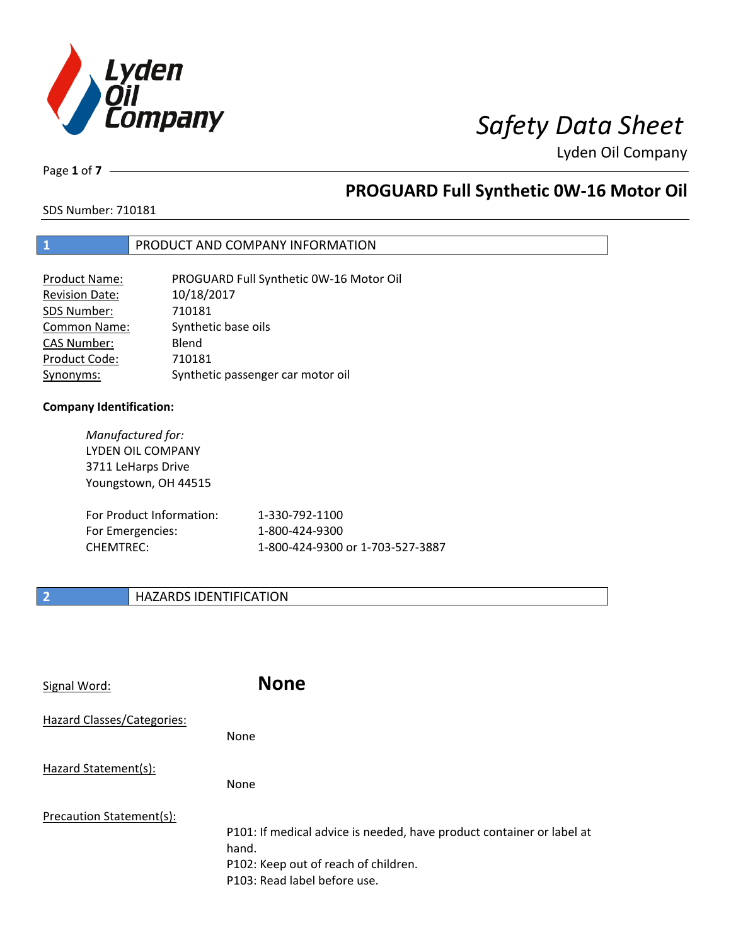

Page **1** of **7**

# **PROGUARD Full Synthetic 0W-16 Motor Oil**

SDS Number: 710181

### **1** PRODUCT AND COMPANY INFORMATION

| <b>Product Name:</b>  | PROGUARD Full Synthetic 0W-16 Motor Oil |
|-----------------------|-----------------------------------------|
| <b>Revision Date:</b> | 10/18/2017                              |
| SDS Number:           | 710181                                  |
| <b>Common Name:</b>   | Synthetic base oils                     |
| <b>CAS Number:</b>    | Blend                                   |
| Product Code:         | 710181                                  |
| Synonyms:             | Synthetic passenger car motor oil       |

### **Company Identification:**

*Manufactured for:* LYDEN OIL COMPANY 3711 LeHarps Drive Youngstown, OH 44515 For Product Information: 1-330-792-1100 For Emergencies: 1-800-424-9300 CHEMTREC: 1-800-424-9300 or 1-703-527-3887

### **2 HAZARDS IDENTIFICATION**

| Signal Word:               | <b>None</b>                                                                                                                                            |
|----------------------------|--------------------------------------------------------------------------------------------------------------------------------------------------------|
| Hazard Classes/Categories: | None                                                                                                                                                   |
| Hazard Statement(s):       | None                                                                                                                                                   |
| Precaution Statement(s):   | P101: If medical advice is needed, have product container or label at<br>hand.<br>P102: Keep out of reach of children.<br>P103: Read label before use. |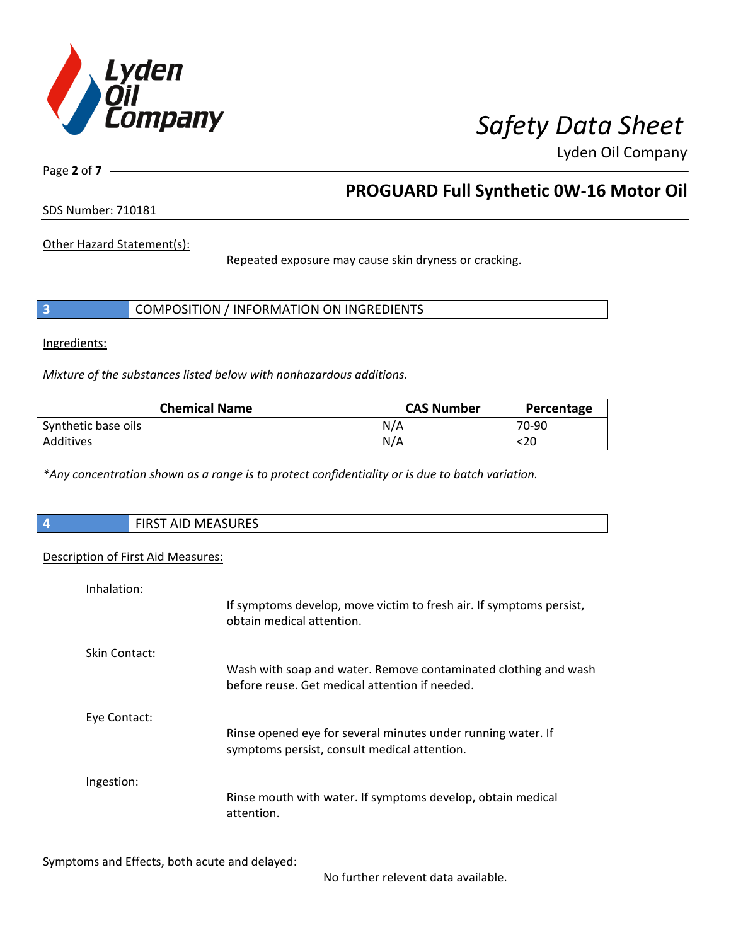

Page **2** of **7**

# **PROGUARD Full Synthetic 0W-16 Motor Oil**

SDS Number: 710181

Other Hazard Statement(s):

Repeated exposure may cause skin dryness or cracking.

|  | COMPOSITION / INFORMATION ON INGREDIENTS |
|--|------------------------------------------|
|--|------------------------------------------|

Ingredients:

I

*Mixture of the substances listed below with nonhazardous additions.*

| <b>Chemical Name</b> | <b>CAS Number</b> | Percentage |
|----------------------|-------------------|------------|
| Synthetic base oils  | N/A               | 70-90      |
| Additives            | N/A               | <20        |

*\*Any concentration shown as a range is to protect confidentiality or is due to batch variation.*

| $\overline{4}$                     | <b>FIRST AID MEASURES</b> |
|------------------------------------|---------------------------|
|                                    |                           |
| Description of First Aid Measures: |                           |

| Inhalation:   | If symptoms develop, move victim to fresh air. If symptoms persist,                                               |
|---------------|-------------------------------------------------------------------------------------------------------------------|
|               | obtain medical attention.                                                                                         |
| Skin Contact: |                                                                                                                   |
|               | Wash with soap and water. Remove contaminated clothing and wash<br>before reuse. Get medical attention if needed. |
| Eye Contact:  | Rinse opened eye for several minutes under running water. If                                                      |
|               | symptoms persist, consult medical attention.                                                                      |
| Ingestion:    |                                                                                                                   |
|               | Rinse mouth with water. If symptoms develop, obtain medical<br>attention.                                         |

Symptoms and Effects, both acute and delayed:

No further relevent data available.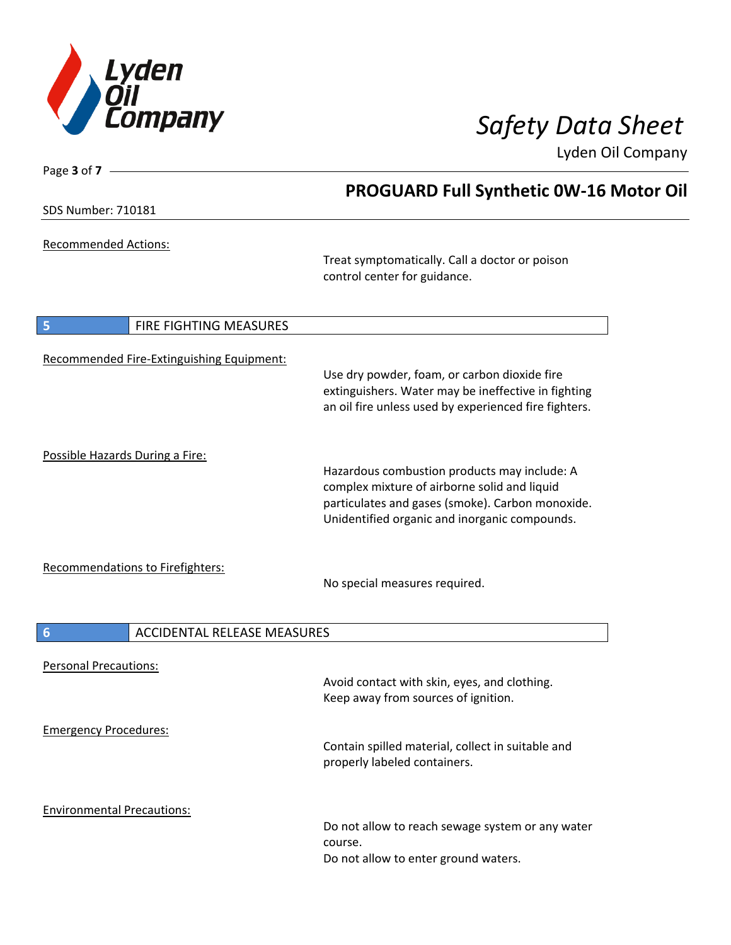

Page **3** of **7**

Lyden Oil Company

|                                                       | <b>PROGUARD Full Synthetic 0W-16 Motor Oil</b>                                                                                                                                                    |  |  |
|-------------------------------------------------------|---------------------------------------------------------------------------------------------------------------------------------------------------------------------------------------------------|--|--|
| <b>SDS Number: 710181</b>                             |                                                                                                                                                                                                   |  |  |
| Recommended Actions:                                  |                                                                                                                                                                                                   |  |  |
|                                                       | Treat symptomatically. Call a doctor or poison<br>control center for guidance.                                                                                                                    |  |  |
| 5<br>FIRE FIGHTING MEASURES                           |                                                                                                                                                                                                   |  |  |
| Recommended Fire-Extinguishing Equipment:             | Use dry powder, foam, or carbon dioxide fire<br>extinguishers. Water may be ineffective in fighting<br>an oil fire unless used by experienced fire fighters.                                      |  |  |
| Possible Hazards During a Fire:                       | Hazardous combustion products may include: A<br>complex mixture of airborne solid and liquid<br>particulates and gases (smoke). Carbon monoxide.<br>Unidentified organic and inorganic compounds. |  |  |
| <b>Recommendations to Firefighters:</b>               | No special measures required.                                                                                                                                                                     |  |  |
| $6\phantom{1}6$<br><b>ACCIDENTAL RELEASE MEASURES</b> |                                                                                                                                                                                                   |  |  |
| <b>Personal Precautions:</b>                          | Avoid contact with skin, eyes, and clothing.<br>Keep away from sources of ignition.                                                                                                               |  |  |
| <b>Emergency Procedures:</b>                          | Contain spilled material, collect in suitable and<br>properly labeled containers.                                                                                                                 |  |  |
| <b>Environmental Precautions:</b>                     | Do not allow to reach sewage system or any water<br>course.<br>Do not allow to enter ground waters.                                                                                               |  |  |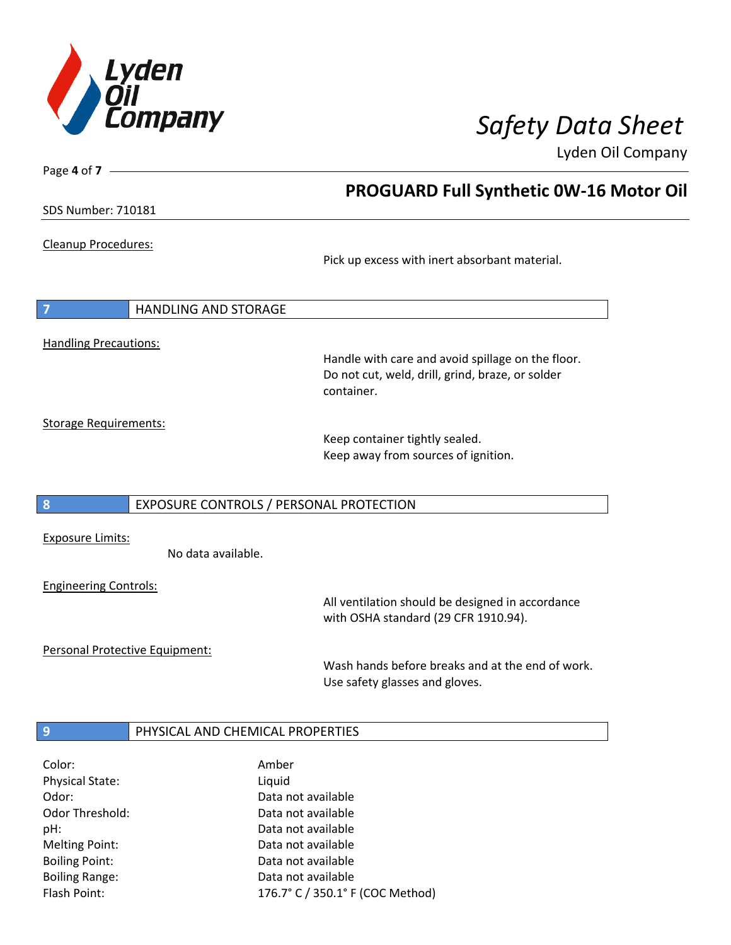

**PROGUARD Full Synthetic 0W-16 Motor Oil**

Lyden Oil Company

SDS Number: 710181

Page **4** of **7**

Cleanup Procedures:

Pick up excess with inert absorbant material.

**7** HANDLING AND STORAGE Handling Precautions:

> Handle with care and avoid spillage on the floor. Do not cut, weld, drill, grind, braze, or solder container.

Storage Requirements:

Keep container tightly sealed. Keep away from sources of ignition.

### **8** EXPOSURE CONTROLS / PERSONAL PROTECTION

Exposure Limits:

No data available.

Engineering Controls:

All ventilation should be designed in accordance with OSHA standard (29 CFR 1910.94).

Personal Protective Equipment:

Wash hands before breaks and at the end of work. Use safety glasses and gloves.

### **9 PHYSICAL AND CHEMICAL PROPERTIES**

| Color:                 | Amber                            |
|------------------------|----------------------------------|
| <b>Physical State:</b> | Liquid                           |
| Odor:                  | Data not available               |
| Odor Threshold:        | Data not available               |
| pH:                    | Data not available               |
| <b>Melting Point:</b>  | Data not available               |
| <b>Boiling Point:</b>  | Data not available               |
| <b>Boiling Range:</b>  | Data not available               |
| Flash Point:           | 176.7° C / 350.1° F (COC Method) |
|                        |                                  |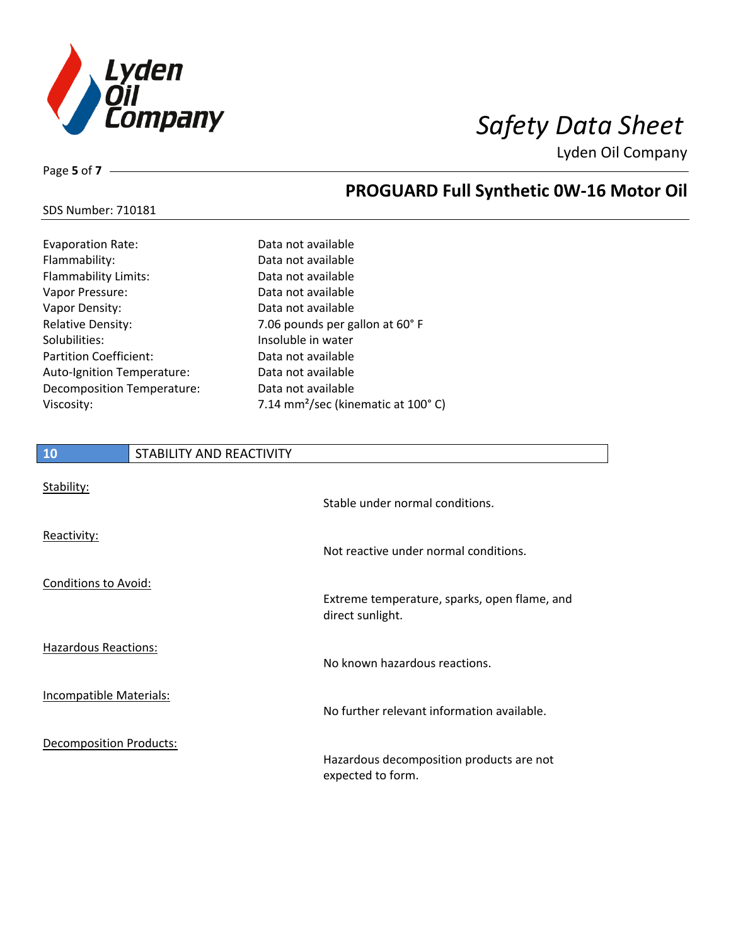

SDS Number: 710181

Page **5** of **7**

# **PROGUARD Full Synthetic 0W-16 Motor Oil**

| Evaporation Rate:    | Data not available |
|----------------------|--------------------|
| Flammability:        | Data not available |
| Flammability Limits: | Data not available |

| Flammability:                 | Data not available                             |
|-------------------------------|------------------------------------------------|
| <b>Flammability Limits:</b>   | Data not available                             |
| Vapor Pressure:               | Data not available                             |
| Vapor Density:                | Data not available                             |
| <b>Relative Density:</b>      | 7.06 pounds per gallon at 60° F                |
| Solubilities:                 | Insoluble in water                             |
| <b>Partition Coefficient:</b> | Data not available                             |
| Auto-Ignition Temperature:    | Data not available                             |
| Decomposition Temperature:    | Data not available                             |
| Viscosity:                    | 7.14 mm <sup>2</sup> /sec (kinematic at 100°C) |
|                               |                                                |

# **10** STABILITY AND REACTIVITY

| Stability:                     | Stable under normal conditions.                                  |
|--------------------------------|------------------------------------------------------------------|
| Reactivity:                    | Not reactive under normal conditions.                            |
| <b>Conditions to Avoid:</b>    | Extreme temperature, sparks, open flame, and<br>direct sunlight. |
| <b>Hazardous Reactions:</b>    | No known hazardous reactions.                                    |
| Incompatible Materials:        | No further relevant information available.                       |
| <b>Decomposition Products:</b> | Hazardous decomposition products are not<br>expected to form.    |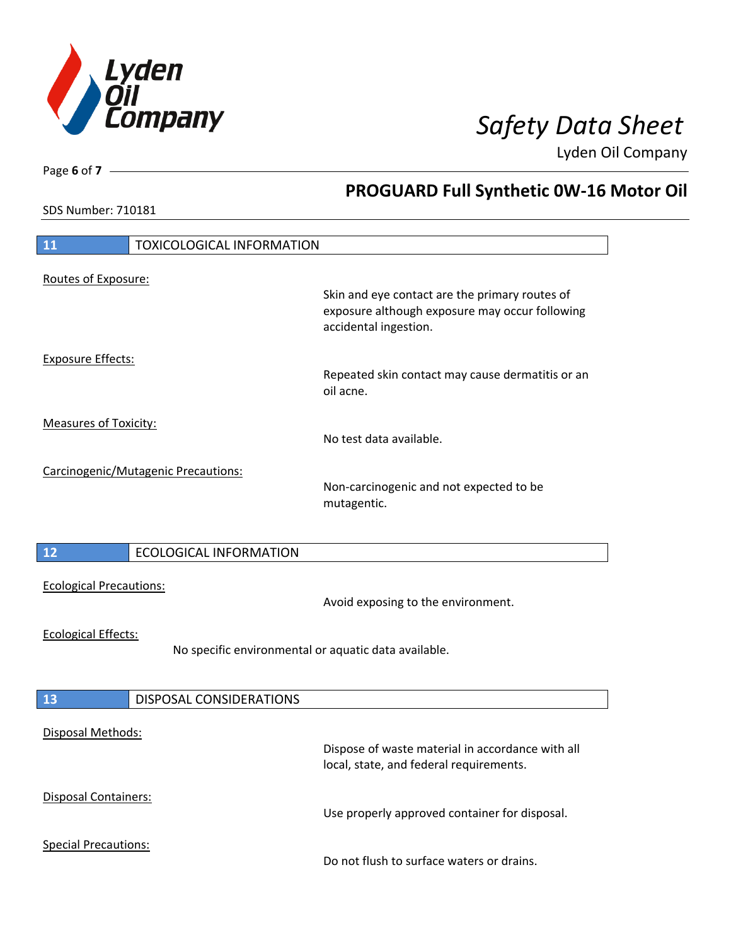

**PROGUARD Full Synthetic 0W-16 Motor Oil**

Lyden Oil Company

SDS Number: 710181

Page **6** of **7**

| 11                                                                                 | <b>TOXICOLOGICAL INFORMATION</b>    |                                                                                                                           |
|------------------------------------------------------------------------------------|-------------------------------------|---------------------------------------------------------------------------------------------------------------------------|
| Routes of Exposure:                                                                |                                     |                                                                                                                           |
|                                                                                    |                                     | Skin and eye contact are the primary routes of<br>exposure although exposure may occur following<br>accidental ingestion. |
| <b>Exposure Effects:</b>                                                           |                                     | Repeated skin contact may cause dermatitis or an<br>oil acne.                                                             |
| <b>Measures of Toxicity:</b>                                                       |                                     | No test data available.                                                                                                   |
|                                                                                    | Carcinogenic/Mutagenic Precautions: | Non-carcinogenic and not expected to be<br>mutagentic.                                                                    |
| 12                                                                                 | <b>ECOLOGICAL INFORMATION</b>       |                                                                                                                           |
| <b>Ecological Precautions:</b>                                                     |                                     | Avoid exposing to the environment.                                                                                        |
| <b>Ecological Effects:</b><br>No specific environmental or aquatic data available. |                                     |                                                                                                                           |
| 13                                                                                 | <b>DISPOSAL CONSIDERATIONS</b>      |                                                                                                                           |
| Disposal Methods:                                                                  |                                     | Dispose of waste material in accordance with all<br>local, state, and federal requirements.                               |
| Disposal Containers:                                                               |                                     | Use properly approved container for disposal.                                                                             |
| <b>Special Precautions:</b>                                                        |                                     | Do not flush to surface waters or drains.                                                                                 |